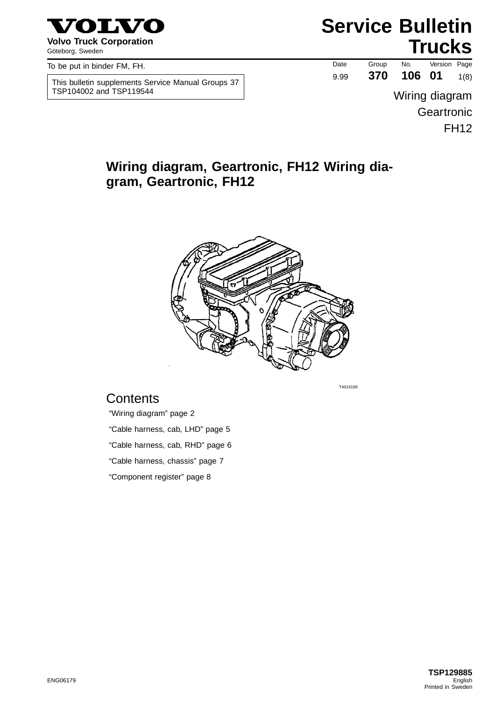

**Volvo Truck Corporation**

To be put in binder FM, FH.

This bulletin supplements Service Manual Groups 37 TSP104002 and TSP119544 Wiring diagram

## **Service Bulletin** Volvo Truck Corporation<br>
Göteborg, Sweden **Trucks**

Date Group No. Version Page 9.99 **370 106 01** 1(8)

> **Geartronic** FH12

#### **Wiring diagram, Geartronic, FH12 Wiring diagram, Geartronic, FH12**



T4014180

#### **Contents**

"Wiring diagram" page 2 "Cable harness, cab, LHD" page 5 "Cable harness, cab, RHD" page 6 "Cable harness, chassis" page 7 "Component register" page 8

**TSP129885** ENG06179 English Printed in Sweden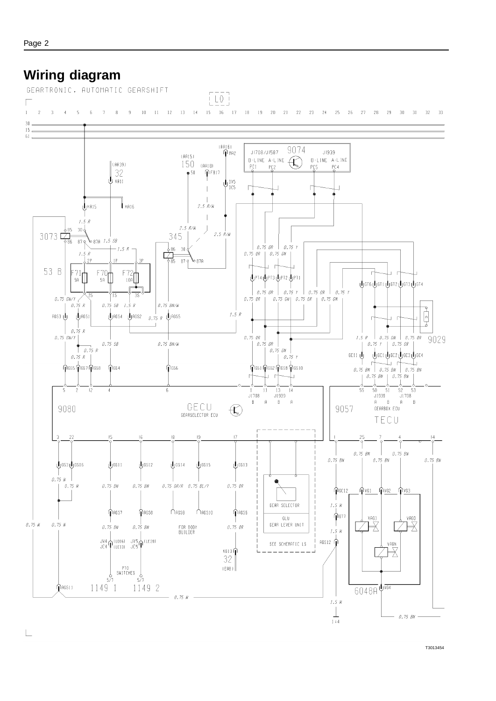



32

 $|E(18)|$ 

 $0.75 W -$ 

SALTCHES  $\begin{bmatrix} 970 \\ 5/7 \end{bmatrix}$ 

1149 1 1149 2

 $\bigcap_{i=1}^{n}$  AGS11

T3013454

 $-$  0.75 BN  $-$ 

6048A UVG4

 $1.5$   $N$  $\bot$ 

 $\overline{1:4}$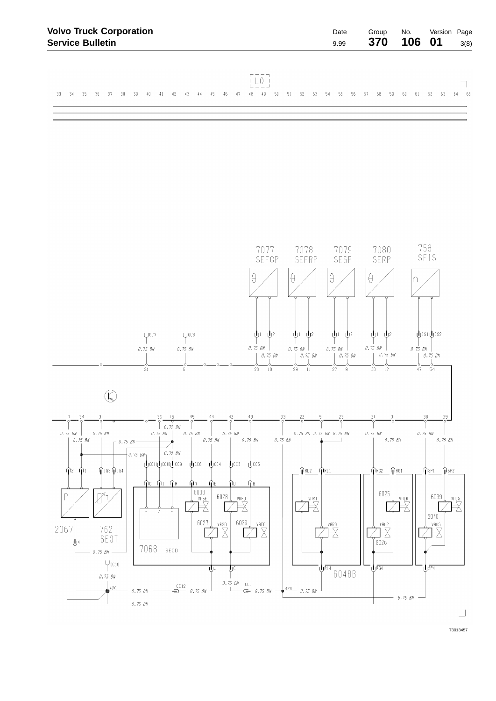| <b>Volvo Truck Corporation</b><br>Date<br><b>Service Bulletin</b><br>9.99 |      |  |  |          |      |      |     |       |    |    |     |    |    | Group |    | No. |    | Version Page |      |    |     |      |       |  |    |      |      |     |     |     |    |  |
|---------------------------------------------------------------------------|------|--|--|----------|------|------|-----|-------|----|----|-----|----|----|-------|----|-----|----|--------------|------|----|-----|------|-------|--|----|------|------|-----|-----|-----|----|--|
|                                                                           |      |  |  |          |      |      |     |       |    |    | 370 |    |    | 106   |    | 01  |    | 3(8)         |      |    |     |      |       |  |    |      |      |     |     |     |    |  |
|                                                                           |      |  |  |          |      |      |     |       |    |    |     |    |    |       |    |     |    |              |      |    |     |      |       |  |    |      |      |     |     |     |    |  |
|                                                                           |      |  |  |          |      |      |     |       |    |    |     |    |    |       |    |     |    |              |      |    |     |      |       |  |    |      |      |     |     |     |    |  |
|                                                                           | - 34 |  |  | 35 36 37 | - 38 | - 39 | -40 | $-41$ | 42 | 43 | 44  | 45 | 46 | 47    | 48 | -49 | 50 | - 51         | - 52 | 53 | -54 | - 55 | 56 57 |  | 58 | - 59 | -60. | -61 | -62 | -63 | 65 |  |



T3013457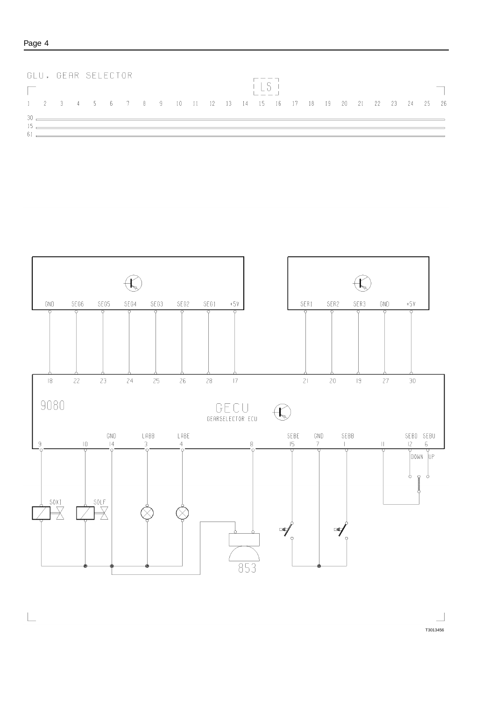|    | GLU, GEAR SELECTOR |  |  |  |                                                                      |  |  |  |  |  |  |  |  |
|----|--------------------|--|--|--|----------------------------------------------------------------------|--|--|--|--|--|--|--|--|
|    |                    |  |  |  |                                                                      |  |  |  |  |  |  |  |  |
|    |                    |  |  |  | 1 2 3 4 5 6 7 8 9 10 11 12 13 14 15 16 17 18 19 20 21 22 23 24 25 26 |  |  |  |  |  |  |  |  |
| 30 |                    |  |  |  |                                                                      |  |  |  |  |  |  |  |  |
|    |                    |  |  |  |                                                                      |  |  |  |  |  |  |  |  |



T3013456

 $\overline{\phantom{a}}$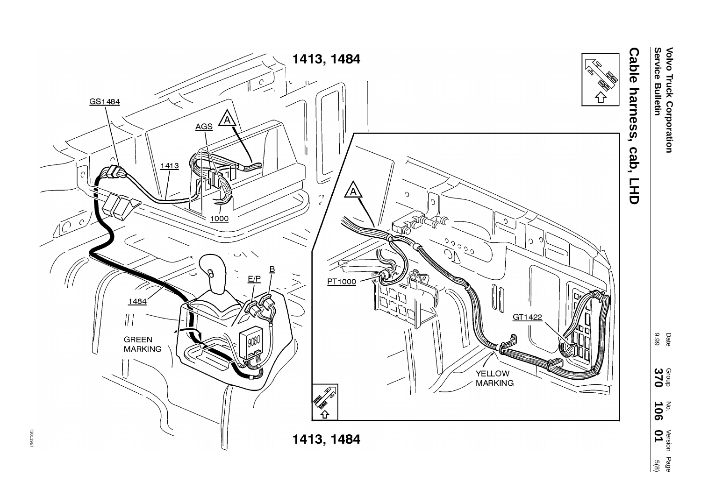

# **Cable harness, cab, LHD Cable** harness, cab, EH

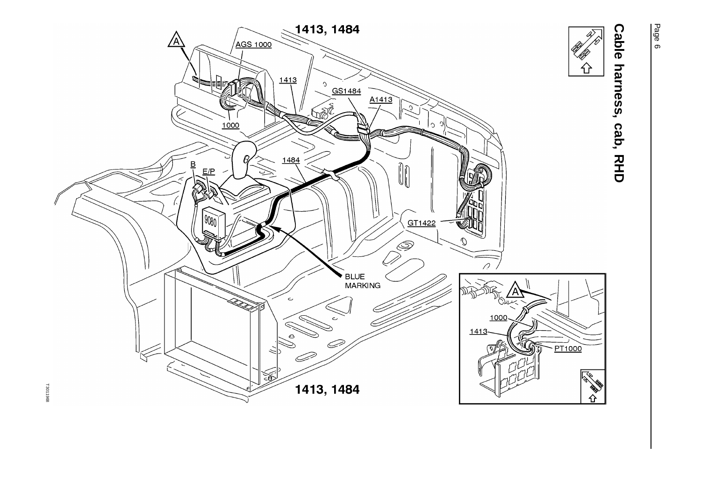

Page 6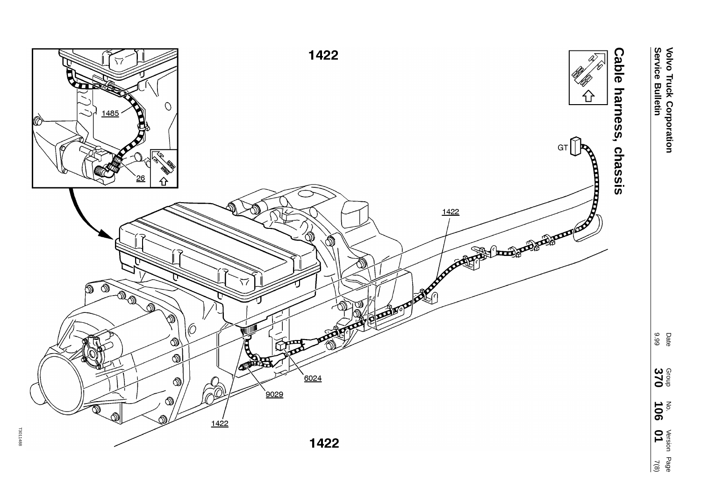

T3011488

7(8)